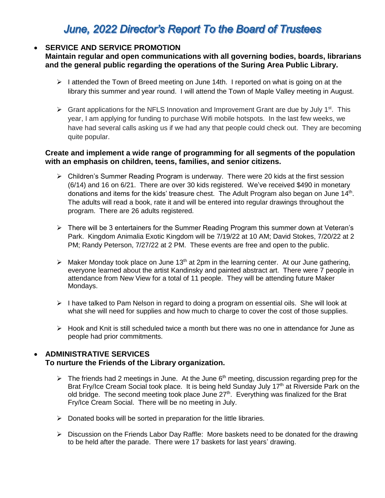# June, 2022 Director's Report To the Board of Trustees

## **SERVICE AND SERVICE PROMOTION**

**Maintain regular and open communications with all governing bodies, boards, librarians and the general public regarding the operations of the Suring Area Public Library.**

- $\triangleright$  I attended the Town of Breed meeting on June 14th. I reported on what is going on at the library this summer and year round. I will attend the Town of Maple Valley meeting in August.
- $\triangleright$  Grant applications for the NFLS Innovation and Improvement Grant are due by July 1<sup>st</sup>. This year, I am applying for funding to purchase Wifi mobile hotspots. In the last few weeks, we have had several calls asking us if we had any that people could check out. They are becoming quite popular.

## **Create and implement a wide range of programming for all segments of the population with an emphasis on children, teens, families, and senior citizens.**

- Children's Summer Reading Program is underway. There were 20 kids at the first session (6/14) and 16 on 6/21. There are over 30 kids registered. We've received \$490 in monetary donations and items for the kids' treasure chest. The Adult Program also began on June 14<sup>th</sup>. The adults will read a book, rate it and will be entered into regular drawings throughout the program. There are 26 adults registered.
- There will be 3 entertainers for the Summer Reading Program this summer down at Veteran's Park. Kingdom Animalia Exotic Kingdom will be 7/19/22 at 10 AM; David Stokes, 7/20/22 at 2 PM; Randy Peterson, 7/27/22 at 2 PM. These events are free and open to the public.
- $\triangleright$  Maker Monday took place on June 13<sup>th</sup> at 2pm in the learning center. At our June gathering, everyone learned about the artist Kandinsky and painted abstract art. There were 7 people in attendance from New View for a total of 11 people. They will be attending future Maker Mondays.
- $\triangleright$  I have talked to Pam Nelson in regard to doing a program on essential oils. She will look at what she will need for supplies and how much to charge to cover the cost of those supplies.
- $\triangleright$  Hook and Knit is still scheduled twice a month but there was no one in attendance for June as people had prior commitments.

## **ADMINISTRATIVE SERVICES**

### **To nurture the Friends of the Library organization.**

- $\triangleright$  The friends had 2 meetings in June. At the June 6<sup>th</sup> meeting, discussion regarding prep for the Brat Fry/Ice Cream Social took place. It is being held Sunday July 17<sup>th</sup> at Riverside Park on the old bridge. The second meeting took place June  $27<sup>th</sup>$ . Everything was finalized for the Brat Fry/Ice Cream Social. There will be no meeting in July.
- $\triangleright$  Donated books will be sorted in preparation for the little libraries.
- $\triangleright$  Discussion on the Friends Labor Day Raffle: More baskets need to be donated for the drawing to be held after the parade. There were 17 baskets for last years' drawing.